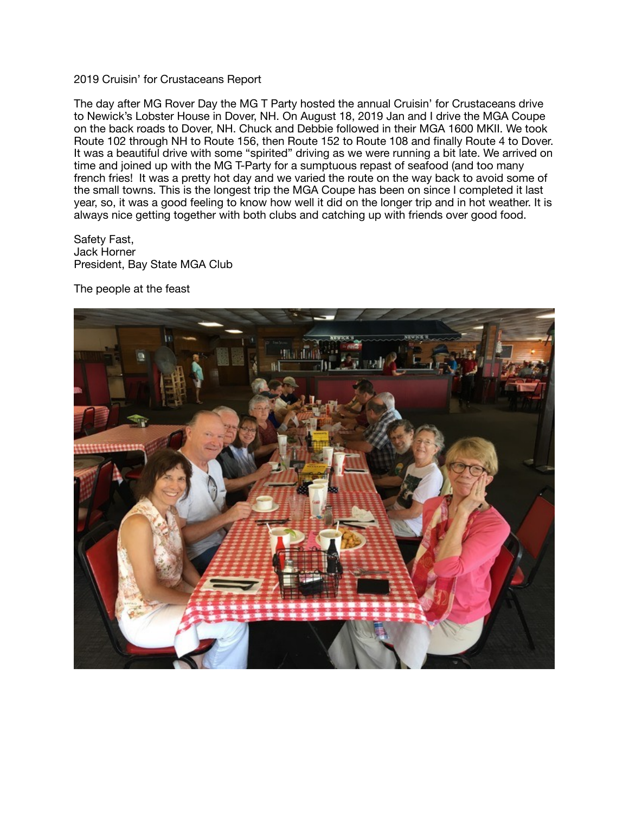## 2019 Cruisin' for Crustaceans Report

The day after MG Rover Day the MG T Party hosted the annual Cruisin' for Crustaceans drive to Newick's Lobster House in Dover, NH. On August 18, 2019 Jan and I drive the MGA Coupe on the back roads to Dover, NH. Chuck and Debbie followed in their MGA 1600 MKII. We took Route 102 through NH to Route 156, then Route 152 to Route 108 and finally Route 4 to Dover. It was a beautiful drive with some "spirited" driving as we were running a bit late. We arrived on time and joined up with the MG T-Party for a sumptuous repast of seafood (and too many french fries! It was a pretty hot day and we varied the route on the way back to avoid some of the small towns. This is the longest trip the MGA Coupe has been on since I completed it last year, so, it was a good feeling to know how well it did on the longer trip and in hot weather. It is always nice getting together with both clubs and catching up with friends over good food.

Safety Fast, Jack Horner President, Bay State MGA Club

The people at the feast